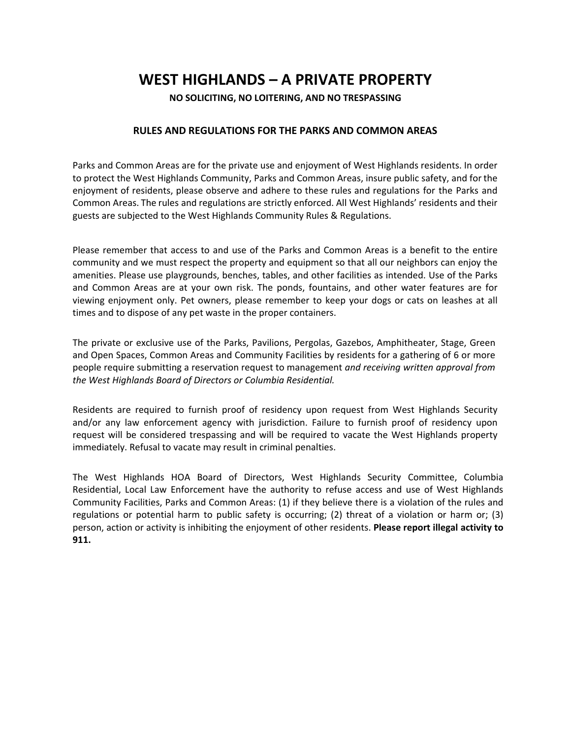## **WEST HIGHLANDS – A PRIVATE PROPERTY**

**NO SOLICITING, NO LOITERING, AND NO TRESPASSING**

## **RULES AND REGULATIONS FOR THE PARKS AND COMMON AREAS**

Parks and Common Areas are for the private use and enjoyment of West Highlands residents. In order to protect the West Highlands Community, Parks and Common Areas, insure public safety, and for the enjoyment of residents, please observe and adhere to these rules and regulations for the Parks and Common Areas. The rules and regulations are strictly enforced. All West Highlands' residents and their guests are subjected to the West Highlands Community Rules & Regulations.

Please remember that access to and use of the Parks and Common Areas is a benefit to the entire community and we must respect the property and equipment so that all our neighbors can enjoy the amenities. Please use playgrounds, benches, tables, and other facilities as intended. Use of the Parks and Common Areas are at your own risk. The ponds, fountains, and other water features are for viewing enjoyment only. Pet owners, please remember to keep your dogs or cats on leashes at all times and to dispose of any pet waste in the proper containers.

The private or exclusive use of the Parks, Pavilions, Pergolas, Gazebos, Amphitheater, Stage, Green and Open Spaces, Common Areas and Community Facilities by residents for a gathering of 6 or more people require submitting a reservation request to management *and receiving written approval from the West Highlands Board of Directors or Columbia Residential.*

Residents are required to furnish proof of residency upon request from West Highlands Security and/or any law enforcement agency with jurisdiction. Failure to furnish proof of residency upon request will be considered trespassing and will be required to vacate the West Highlands property immediately. Refusal to vacate may result in criminal penalties.

The West Highlands HOA Board of Directors, West Highlands Security Committee, Columbia Residential, Local Law Enforcement have the authority to refuse access and use of West Highlands Community Facilities, Parks and Common Areas: (1) if they believe there is a violation of the rules and regulations or potential harm to public safety is occurring; (2) threat of a violation or harm or;  $(3)$ person, action or activity is inhibiting the enjoyment of other residents. **Please report illegal activity to 911.**